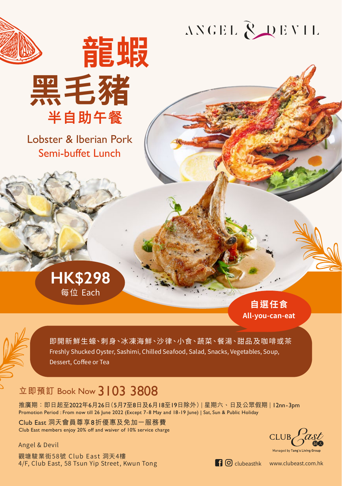

# ANGEL ROEVIL

Lobster & Iberian Pork Semi-buffet Lunch

黑毛豬

半自助午餐

龍蝦



**自選任食 All-you-can-eat**



即開新鮮生蠔、刺身、冰凍海鮮、沙律、小食、蔬菜、餐湯、甜品及咖啡或茶 Freshly Shucked Oyster, Sashimi, Chilled Seafood, Salad, Snacks, Vegetables, Soup, Dessert, Coffee or Tea

# **立即預訂** Book Now 3103 3808

推廣期:即日起至2022年6月26日(5月7至8日及6月18至19日除外) | 星期六、日及公眾假期 | 12nn-3pm Promotion Period : From now till 26 June 2022 (Except 7-8 May and 18-19 June) | Sat, Sun & Public Holiday

Club East 洞天會員尊享8折優惠及免加一服務費 Club East members enjoy 20% off and waiver of 10% service charge

Angel & Devil

觀塘駿業街58號 Club East 洞天4樓 4/F, Club East, 58 Tsun Yip Street, Kwun Tong **clubeasthered Controllect Windows** Clubeasthk www.clubeast.com.hk